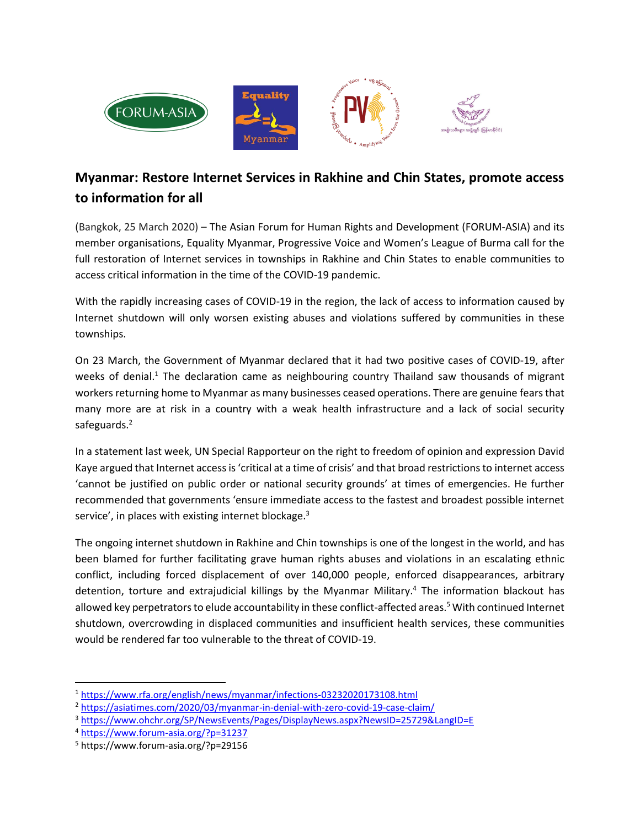

## **Myanmar: Restore Internet Services in Rakhine and Chin States, promote access to information for all**

(Bangkok, 25 March 2020) – The Asian Forum for Human Rights and Development (FORUM-ASIA) and its member organisations, Equality Myanmar, Progressive Voice and Women's League of Burma call for the full restoration of Internet services in townships in Rakhine and Chin States to enable communities to access critical information in the time of the COVID-19 pandemic.

With the rapidly increasing cases of COVID-19 in the region, the lack of access to information caused by Internet shutdown will only worsen existing abuses and violations suffered by communities in these townships.

On 23 March, the Government of Myanmar declared that it had two positive cases of COVID-19, after weeks of denial.<sup>1</sup> The declaration came as neighbouring country Thailand saw thousands of migrant workers returning home to Myanmar as many businesses ceased operations. There are genuine fears that many more are at risk in a country with a weak health infrastructure and a lack of social security safeguards.<sup>2</sup>

In a statement last week, UN Special Rapporteur on the right to freedom of opinion and expression David Kaye argued that Internet access is 'critical at a time of crisis' and that broad restrictions to internet access 'cannot be justified on public order or national security grounds' at times of emergencies. He further recommended that governments 'ensure immediate access to the fastest and broadest possible internet service', in places with existing internet blockage.<sup>3</sup>

The ongoing internet shutdown in Rakhine and Chin townships is one of the longest in the world, and has been blamed for further facilitating grave human rights abuses and violations in an escalating ethnic conflict, including forced displacement of over 140,000 people, enforced disappearances, arbitrary detention, torture and extrajudicial killings by the Myanmar Military. <sup>4</sup> The information blackout has allowed key perpetrators to elude accountability in these conflict-affected areas.<sup>5</sup> With continued Internet shutdown, overcrowding in displaced communities and insufficient health services, these communities would be rendered far too vulnerable to the threat of COVID-19.

 $\overline{\phantom{a}}$ 

<sup>1</sup> <https://www.rfa.org/english/news/myanmar/infections-03232020173108.html>

<sup>2</sup> <https://asiatimes.com/2020/03/myanmar-in-denial-with-zero-covid-19-case-claim/>

<sup>3</sup> <https://www.ohchr.org/SP/NewsEvents/Pages/DisplayNews.aspx?NewsID=25729&LangID=E>

<sup>4</sup> <https://www.forum-asia.org/?p=31237>

<sup>5</sup> https://www.forum-asia.org/?p=29156